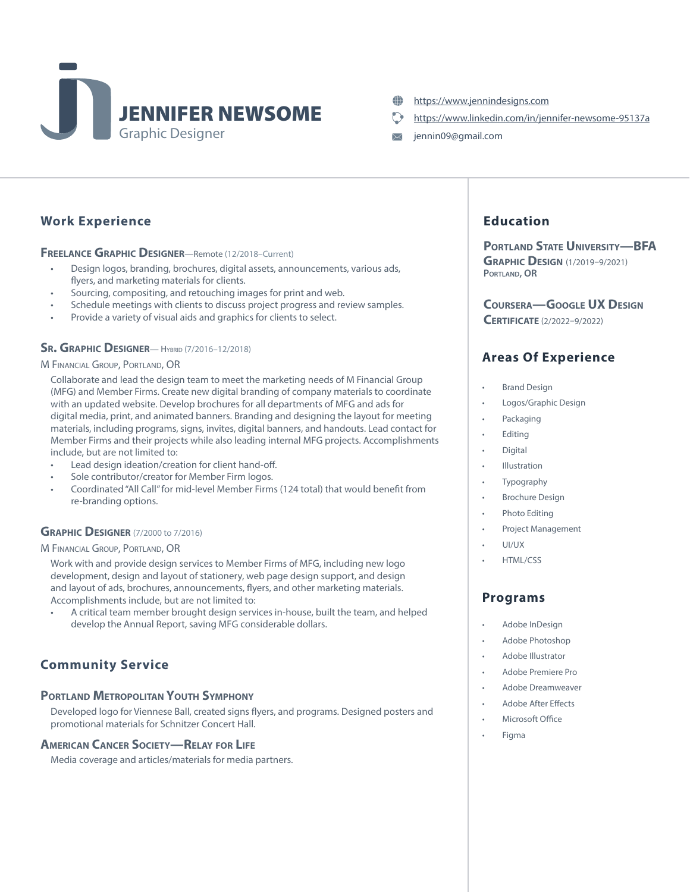

- <https://www.jennindesigns.com> æ
- <https://www.linkedin.com/in/jennifer-newsome-95137a>
- jennin09@gmail.com  $\boxtimes$

### Work Experience

FREELANCE GRAPHIC DESIGNER-Remote (12/2018-Current)

- Design logos, branding, brochures, digital assets, announcements, various ads, flyers, and marketing materials for clients.
- Sourcing, compositing, and retouching images for print and web.
- Schedule meetings with clients to discuss project progress and review samples.
- Provide a variety of visual aids and graphics for clients to select.

#### **SR. GRAPHIC DESIGNER**— HYBRID (7/2016-12/2018)

#### M Financial Group, Portland, OR

Collaborate and lead the design team to meet the marketing needs of M Financial Group (MFG) and Member Firms. Create new digital branding of company materials to coordinate with an updated website. Develop brochures for all departments of MFG and ads for digital media, print, and animated banners. Branding and designing the layout for meeting materials, including programs, signs, invites, digital banners, and handouts. Lead contact for Member Firms and their projects while also leading internal MFG projects. Accomplishments include, but are not limited to:

- Lead design ideation/creation for client hand-off.
- Sole contributor/creator for Member Firm logos.
- Coordinated "All Call" for mid-level Member Firms (124 total) that would benefit from re-branding options.

### **GRAPHIC DESIGNER** (7/2000 to 7/2016)

#### M Financial Group, Portland, OR

Work with and provide design services to Member Firms of MFG, including new logo development, design and layout of stationery, web page design support, and design and layout of ads, brochures, announcements, flyers, and other marketing materials. Accomplishments include, but are not limited to:

• A critical team member brought design services in-house, built the team, and helped develop the Annual Report, saving MFG considerable dollars.

### Community Service

### PORTLAND METROPOLITAN YOUTH SYMPHONY

Developed logo for Viennese Ball, created signs flyers, and programs. Designed posters and promotional materials for Schnitzer Concert Hall.

#### American Cancer Society—Relay for Life

Media coverage and articles/materials for media partners.

## Education

PORTLAND STATE UNIVERSITY-BFA **GRAPHIC DESIGN (1/2019-9/2021)** PORTLAND, OR

Coursera—Google UX Design

Certificate (2/2022–9/2022)

### Areas Of Experience

- Brand Design
- Logos/Graphic Design
- **Packaging**
- **Editing**
- **Digital**
- **Illustration**
- **Typography**
- Brochure Design
- Photo Editing
- Project Management
- UI/UX
- HTML/CSS

### Programs

- Adobe InDesign
- Adobe Photoshop
- Adobe Illustrator
- Adobe Premiere Pro
- Adobe Dreamweaver
- Adobe After Effects
- Microsoft Office
- Figma